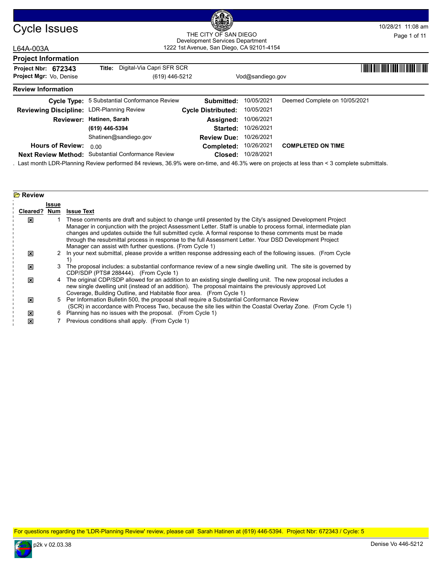

## Cycle Issues am and the City of San Diego Cycle 1980 am and the Magnetic 11:08 am and the City of San Diego Cycle 10/28/21 11:08 am 1222 1st Avenue, San Diego, CA 92101-4154 THE CITY OF SAN DIEGO Development Services Department Page 1 of 11

| 1222 1st Avenue, San Diego, CA 92101-4154<br>L64A-003A |                                              |                           |                  |                                                     |
|--------------------------------------------------------|----------------------------------------------|---------------------------|------------------|-----------------------------------------------------|
| <b>Project Information</b>                             |                                              |                           |                  |                                                     |
| Project Nbr: 672343                                    | Digital-Via Capri SFR SCR<br>Title:          |                           |                  | <u> I Indian Diali India ann an Diale III India</u> |
| <b>Project Mgr: Vo. Denise</b>                         | (619) 446-5212                               |                           | Vod@sandiego.gov |                                                     |
| <b>Review Information</b>                              |                                              |                           |                  |                                                     |
|                                                        | Cycle Type: 5 Substantial Conformance Review | Submitted:                | 10/05/2021       | Deemed Complete on 10/05/2021                       |
| Reviewing Discipline: LDR-Planning Review              |                                              | <b>Cycle Distributed:</b> | 10/05/2021       |                                                     |
|                                                        | Reviewer: Hatinen, Sarah                     | Assigned:                 | 10/06/2021       |                                                     |
|                                                        | (619) 446-5394                               | Started:                  | 10/26/2021       |                                                     |
|                                                        | Shatinen@sandiego.gov                        | <b>Review Due:</b>        | 10/26/2021       |                                                     |
| <b>Hours of Review:</b>                                | 0.00                                         | Completed:                | 10/26/2021       | <b>COMPLETED ON TIME</b>                            |
| <b>Next Review Method:</b>                             | <b>Substantial Conformance Review</b>        | Closed:                   | 10/28/2021       |                                                     |

. Last month LDR-Planning Review performed 84 reviews, 36.9% were on-time, and 46.3% were on projects at less than < 3 complete submittals.

| <b>B</b> Review |       |                                                                                                                                                                                                                                                                                                                                                                                                                                                                                                                |
|-----------------|-------|----------------------------------------------------------------------------------------------------------------------------------------------------------------------------------------------------------------------------------------------------------------------------------------------------------------------------------------------------------------------------------------------------------------------------------------------------------------------------------------------------------------|
|                 | Issue |                                                                                                                                                                                                                                                                                                                                                                                                                                                                                                                |
| Cleared? Num    |       | <b>Issue Text</b>                                                                                                                                                                                                                                                                                                                                                                                                                                                                                              |
| ⊠               |       | These comments are draft and subject to change until presented by the City's assigned Development Project<br>Manager in conjunction with the project Assessment Letter. Staff is unable to process formal, intermediate plan<br>changes and updates outside the full submitted cycle. A formal response to these comments must be made<br>through the resubmittal process in response to the full Assessment Letter. Your DSD Development Project<br>Manager can assist with further questions. (From Cycle 1) |
| ⊠               |       | In your next submittal, please provide a written response addressing each of the following issues. (From Cycle                                                                                                                                                                                                                                                                                                                                                                                                 |
| ⊠               | 3     | The proposal includes: a substantial conformance review of a new single dwelling unit. The site is governed by<br>CDP/SDP (PTS# 288444). (From Cycle 1)                                                                                                                                                                                                                                                                                                                                                        |
| ⊠               |       | 4 The original CDP/SDP allowed for an addition to an existing single dwelling unit. The new proposal includes a<br>new single dwelling unit (instead of an addition). The proposal maintains the previously approved Lot<br>Coverage, Building Outline, and Habitable floor area. (From Cycle 1)                                                                                                                                                                                                               |
| ⊠               |       | 5 Per Information Bulletin 500, the proposal shall require a Substantial Conformance Review<br>(SCR) in accordance with Process Two, because the site lies within the Coastal Overlay Zone. (From Cycle 1)                                                                                                                                                                                                                                                                                                     |
| ⊠               | 6.    | Planning has no issues with the proposal. (From Cycle 1)                                                                                                                                                                                                                                                                                                                                                                                                                                                       |
| ⊠               |       | Previous conditions shall apply. (From Cycle 1)                                                                                                                                                                                                                                                                                                                                                                                                                                                                |

For questions regarding the 'LDR-Planning Review' review, please call Sarah Hatinen at (619) 446-5394. Project Nbr: 672343 / Cycle: 5

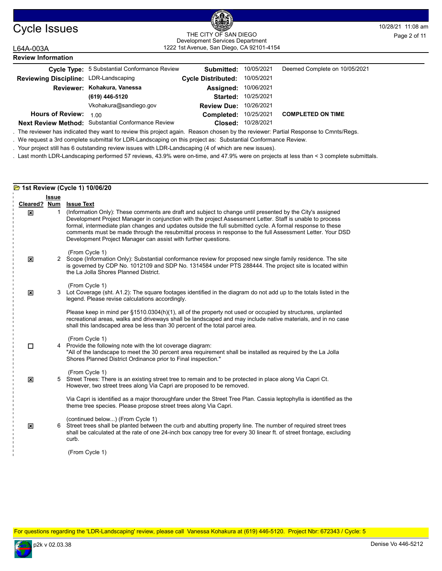

### Cycle Issues and the City of San Diego Cycle 19 and the Mage 2 of 11<br>
THE CITY OF SAN DIEGO THE CITY OF SAN DIEGO 1222 1st Avenue, San Diego, CA 92101-4154 THE CITY OF SAN DIEGO Development Services Department Page 2 of 11

| L64A-003A                             | 1222 1st Avenue, San Diego, CA 92101-4154           |                           |                    |                               |  |
|---------------------------------------|-----------------------------------------------------|---------------------------|--------------------|-------------------------------|--|
| <b>Review Information</b>             |                                                     |                           |                    |                               |  |
|                                       | <b>Cycle Type:</b> 5 Substantial Conformance Review | Submitted:                | 10/05/2021         | Deemed Complete on 10/05/2021 |  |
| Reviewing Discipline: LDR-Landscaping |                                                     | <b>Cycle Distributed:</b> | 10/05/2021         |                               |  |
|                                       | Reviewer: Kohakura, Vanessa                         | Assigned:                 | 10/06/2021         |                               |  |
|                                       | (619) 446-5120                                      | <b>Started:</b>           | 10/25/2021         |                               |  |
|                                       | Vkohakura@sandiego.gov                              | <b>Review Due:</b>        | 10/26/2021         |                               |  |
| <b>Hours of Review:</b>               | 1.00                                                | <b>Completed:</b>         | 10/25/2021         | <b>COMPLETED ON TIME</b>      |  |
| <b>Next Review Method:</b>            | Substantial Conformance Review                      |                           | Closed: 10/28/2021 |                               |  |

. The reviewer has indicated they want to review this project again. Reason chosen by the reviewer: Partial Response to Cmnts/Regs.

. We request a 3rd complete submittal for LDR-Landscaping on this project as: Substantial Conformance Review.

. Your project still has 6 outstanding review issues with LDR-Landscaping (4 of which are new issues).

. Last month LDR-Landscaping performed 57 reviews, 43.9% were on-time, and 47.9% were on projects at less than < 3 complete submittals.

## **1st Review (Cycle 1) 10/06/20**

|                                     | <b>Issue</b> |                                                                                                                                                                                                                                                                                                                                                                                                                                                                                                                                          |
|-------------------------------------|--------------|------------------------------------------------------------------------------------------------------------------------------------------------------------------------------------------------------------------------------------------------------------------------------------------------------------------------------------------------------------------------------------------------------------------------------------------------------------------------------------------------------------------------------------------|
| Cleared?<br>$\overline{\mathbf{x}}$ | Num<br>1     | <b>Issue Text</b><br>(Information Only): These comments are draft and subject to change until presented by the City's assigned<br>Development Project Manager in conjunction with the project Assessment Letter. Staff is unable to process<br>formal, intermediate plan changes and updates outside the full submitted cycle. A formal response to these<br>comments must be made through the resubmittal process in response to the full Assessment Letter. Your DSD<br>Development Project Manager can assist with further questions. |
| 区                                   |              | (From Cycle 1)<br>2 Scope (Information Only): Substantial conformance review for proposed new single family residence. The site<br>is governed by CDP No. 1012109 and SDP No. 1314584 under PTS 288444. The project site is located within<br>the La Jolla Shores Planned District.                                                                                                                                                                                                                                                      |
| X                                   |              | (From Cycle 1)<br>3 Lot Coverage (sht. A1.2): The square footages identified in the diagram do not add up to the totals listed in the<br>legend. Please revise calculations accordingly.                                                                                                                                                                                                                                                                                                                                                 |
|                                     |              | Please keep in mind per §1510.0304(h)(1), all of the property not used or occupied by structures, unplanted<br>recreational areas, walks and driveways shall be landscaped and may include native materials, and in no case<br>shall this landscaped area be less than 30 percent of the total parcel area.                                                                                                                                                                                                                              |
| $\Box$                              |              | (From Cycle 1)<br>4 Provide the following note with the lot coverage diagram:<br>"All of the landscape to meet the 30 percent area requirement shall be installed as required by the La Jolla<br>Shores Planned District Ordinance prior to Final inspection."                                                                                                                                                                                                                                                                           |
| X                                   |              | (From Cycle 1)<br>5 Street Trees: There is an existing street tree to remain and to be protected in place along Via Capri Ct.<br>However, two street trees along Via Capri are proposed to be removed.                                                                                                                                                                                                                                                                                                                                   |
|                                     |              | Via Capri is identified as a major thoroughfare under the Street Tree Plan. Cassia leptophylla is identified as the<br>theme tree species. Please propose street trees along Via Capri.                                                                                                                                                                                                                                                                                                                                                  |
| X                                   |              | (continued below) (From Cycle 1)<br>6 Street trees shall be planted between the curb and abutting property line. The number of required street trees<br>shall be calculated at the rate of one 24-inch box canopy tree for every 30 linear ft. of street frontage, excluding<br>curb.                                                                                                                                                                                                                                                    |
|                                     |              | (From Cycle 1)                                                                                                                                                                                                                                                                                                                                                                                                                                                                                                                           |

For questions regarding the 'LDR-Landscaping' review, please call Vanessa Kohakura at (619) 446-5120. Project Nbr: 672343 / Cycle: 5

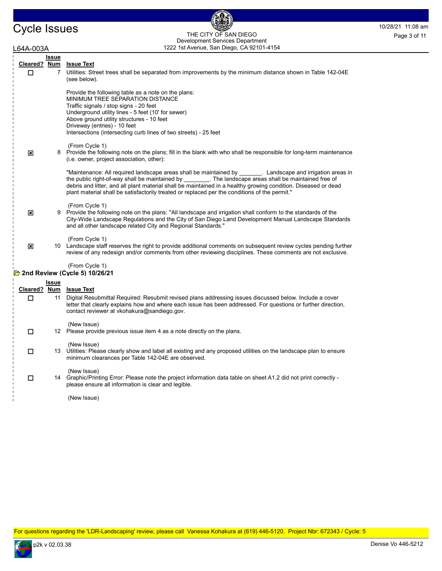# Cycle Issues THE CITY OF SAN DIEGO FRAM DIEGO Page 3 of 11 THE CITY OF SAN DIEGO Development Services Department Page 3 of 11

6

| L64A-003A    |              | 1222 1st Avenue, San Diego, CA 92101-4154                                                                                                                                                                                                                                                                                                                                                                                          |
|--------------|--------------|------------------------------------------------------------------------------------------------------------------------------------------------------------------------------------------------------------------------------------------------------------------------------------------------------------------------------------------------------------------------------------------------------------------------------------|
| Cleared? Num | Issue        | <b>Issue Text</b>                                                                                                                                                                                                                                                                                                                                                                                                                  |
| □            | $7^{\circ}$  | Utilities: Street trees shall be separated from improvements by the minimum distance shown in Table 142-04E<br>(see below).                                                                                                                                                                                                                                                                                                        |
|              |              | Provide the following table as a note on the plans:<br>MINIMUM TREE SEPARATION DISTANCE<br>Traffic signals / stop signs - 20 feet<br>Underground utility lines - 5 feet (10' for sewer)<br>Above ground utility structures - 10 feet<br>Driveway (entries) - 10 feet<br>Intersections (intersecting curb lines of two streets) - 25 feet                                                                                           |
| ⊠            |              | (From Cycle 1)<br>8 Provide the following note on the plans; fill in the blank with who shall be responsible for long-term maintenance<br>(i.e. owner, project association, other):                                                                                                                                                                                                                                                |
|              |              | "Maintenance: All required landscape areas shall be maintained by Tandscape and irrigation areas in<br>the public right-of-way shall be maintained by ________. The landscape areas shall be maintained free of<br>debris and litter, and all plant material shall be maintained in a healthy growing condition. Diseased or dead<br>plant material shall be satisfactorily treated or replaced per the conditions of the permit." |
| ×            | 9            | (From Cycle 1)<br>Provide the following note on the plans: "All landscape and irrigation shall conform to the standards of the<br>City-Wide Landscape Regulations and the City of San Diego Land Development Manual Landscape Standards<br>and all other landscape related City and Regional Standards."                                                                                                                           |
| ×            |              | (From Cycle 1)<br>10 Landscape staff reserves the right to provide additional comments on subsequent review cycles pending further<br>review of any redesign and/or comments from other reviewing disciplines. These comments are not exclusive.                                                                                                                                                                                   |
|              |              | (From Cycle 1)<br>2nd Review (Cycle 5) 10/26/21                                                                                                                                                                                                                                                                                                                                                                                    |
|              | <u>Issue</u> |                                                                                                                                                                                                                                                                                                                                                                                                                                    |
|              |              | Cleared? Num Issue Text                                                                                                                                                                                                                                                                                                                                                                                                            |
| П            | 11           | Digital Resubmittal Required: Resubmit revised plans addressing issues discussed below. Include a cover<br>letter that clearly explains how and where each issue has been addressed. For questions or further direction,<br>contact reviewer at vkohakura@sandiego.gov.                                                                                                                                                            |
| П            |              | (New Issue)<br>12 Please provide previous issue item 4 as a note directly on the plans.                                                                                                                                                                                                                                                                                                                                            |
| □            |              | (New Issue)<br>13 Utilities: Please clearly show and label all existing and any proposed utilities on the landscape plan to ensure<br>minimum clearances per Table 142-04E are observed.                                                                                                                                                                                                                                           |
| □            |              | (New Issue)<br>14 Graphic/Printing Error: Please note the project information data table on sheet A1.2 did not print correctly -<br>please ensure all information is clear and legible.                                                                                                                                                                                                                                            |
|              |              | (New Issue)                                                                                                                                                                                                                                                                                                                                                                                                                        |

For questions regarding the 'LDR-Landscaping' review, please call Vanessa Kohakura at (619) 446-5120. Project Nbr: 672343 / Cycle: 5

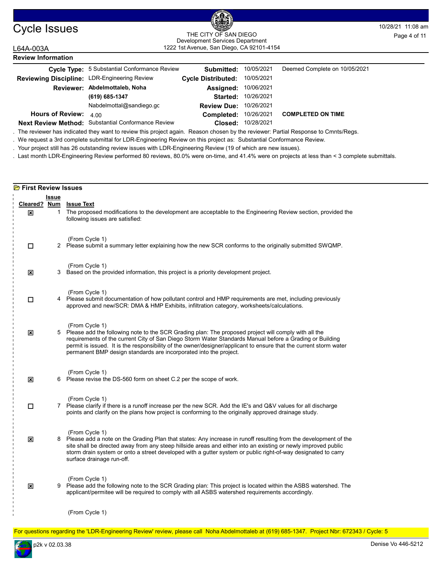

### Cycle Issues and the City of San Diego Cycle 19 and the Mage 4 of 11<br>
THE CITY OF SAN DIEGO THE CITY OF SAN DIEGO 1222 1st Avenue, San Diego, CA 92101-4154 THE CITY OF SAN DIEGO Development Services Department

| L64A-003A                                    | 1222 1st Avenue, San Diego, CA 92101-4154           |                               |                    |                               |  |
|----------------------------------------------|-----------------------------------------------------|-------------------------------|--------------------|-------------------------------|--|
| <b>Review Information</b>                    |                                                     |                               |                    |                               |  |
|                                              | <b>Cycle Type:</b> 5 Substantial Conformance Review | Submitted:                    | 10/05/2021         | Deemed Complete on 10/05/2021 |  |
| Reviewing Discipline: LDR-Engineering Review |                                                     | <b>Cycle Distributed:</b>     | 10/05/2021         |                               |  |
|                                              | Reviewer: Abdelmottaleb, Noha                       | Assigned:                     | 10/06/2021         |                               |  |
|                                              | (619) 685-1347                                      | Started:                      | 10/26/2021         |                               |  |
|                                              | Nabdelmottal@sandiego.go                            | <b>Review Due: 10/26/2021</b> |                    |                               |  |
| <b>Hours of Review:</b>                      | 4.00                                                | Completed:                    | 10/26/2021         | <b>COMPLETED ON TIME</b>      |  |
|                                              | Next Review Method: Substantial Conformance Review  |                               | Closed: 10/28/2021 |                               |  |

. The reviewer has indicated they want to review this project again. Reason chosen by the reviewer: Partial Response to Cmnts/Regs.

. We request a 3rd complete submittal for LDR-Engineering Review on this project as: Substantial Conformance Review.

. Your project still has 26 outstanding review issues with LDR-Engineering Review (19 of which are new issues).

. Last month LDR-Engineering Review performed 80 reviews, 80.0% were on-time, and 41.4% were on projects at less than < 3 complete submittals.

| <b>E</b> First Review Issues |                                 |                                                                                                                                                                                                                                                                                                                                                                                                                               |  |  |
|------------------------------|---------------------------------|-------------------------------------------------------------------------------------------------------------------------------------------------------------------------------------------------------------------------------------------------------------------------------------------------------------------------------------------------------------------------------------------------------------------------------|--|--|
| Cleared?<br>⊠                | <b>Issue</b><br><u>Num</u><br>1 | <b>Issue Text</b><br>The proposed modifications to the development are acceptable to the Engineering Review section, provided the<br>following issues are satisfied:                                                                                                                                                                                                                                                          |  |  |
| $\Box$                       |                                 | (From Cycle 1)<br>2 Please submit a summary letter explaining how the new SCR conforms to the originally submitted SWQMP.                                                                                                                                                                                                                                                                                                     |  |  |
| ⊠                            | 3                               | (From Cycle 1)<br>Based on the provided information, this project is a priority development project.                                                                                                                                                                                                                                                                                                                          |  |  |
| $\Box$                       |                                 | (From Cycle 1)<br>4 Please submit documentation of how pollutant control and HMP requirements are met, including previously<br>approved and new/SCR: DMA & HMP Exhibits, infiltration category, worksheets/calculations.                                                                                                                                                                                                      |  |  |
| 図                            |                                 | (From Cycle 1)<br>5 Please add the following note to the SCR Grading plan: The proposed project will comply with all the<br>requirements of the current City of San Diego Storm Water Standards Manual before a Grading or Building<br>permit is issued. It is the responsibility of the owner/designer/applicant to ensure that the current storm water<br>permanent BMP design standards are incorporated into the project. |  |  |
| 図                            |                                 | (From Cycle 1)<br>6 Please revise the DS-560 form on sheet C.2 per the scope of work.                                                                                                                                                                                                                                                                                                                                         |  |  |
| □                            |                                 | (From Cycle 1)<br>7 Please clarify if there is a runoff increase per the new SCR. Add the IE's and Q&V values for all discharge<br>points and clarify on the plans how project is conforming to the originally approved drainage study.                                                                                                                                                                                       |  |  |
| $\overline{\mathbf{x}}$      |                                 | (From Cycle 1)<br>8 Please add a note on the Grading Plan that states: Any increase in runoff resulting from the development of the<br>site shall be directed away from any steep hillside areas and either into an existing or newly improved public<br>storm drain system or onto a street developed with a gutter system or public right-of-way designated to carry<br>surface drainage run-off.                           |  |  |
| $\boldsymbol{\mathsf{x}}$    |                                 | (From Cycle 1)<br>9 Please add the following note to the SCR Grading plan: This project is located within the ASBS watershed. The<br>applicant/permitee will be required to comply with all ASBS watershed requirements accordingly.                                                                                                                                                                                          |  |  |
|                              |                                 | (From Cycle 1)                                                                                                                                                                                                                                                                                                                                                                                                                |  |  |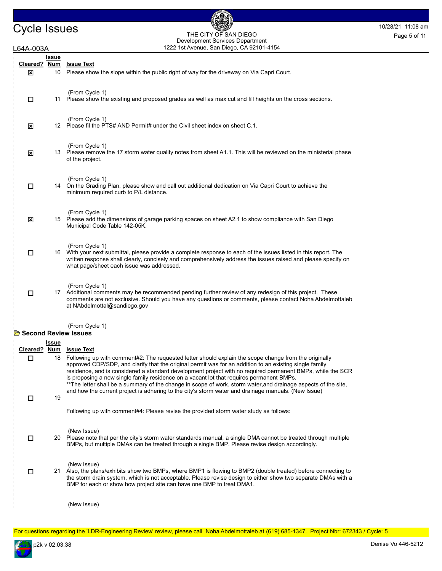# Cycle Issues THE CITY OF SAN DIEGO 10/28/21 11:08 am THE CITY OF SAN DIEGO Development Services Department Page 5 of 11

偑

| .64A-003A                     |                           | 1222 1st Avenue, San Diego, CA 92101-4154                                                                                                                                                                                                                                                                                                                                                                                                                                                                                                                                                                                                           |
|-------------------------------|---------------------------|-----------------------------------------------------------------------------------------------------------------------------------------------------------------------------------------------------------------------------------------------------------------------------------------------------------------------------------------------------------------------------------------------------------------------------------------------------------------------------------------------------------------------------------------------------------------------------------------------------------------------------------------------------|
| Cleared?<br>⊠                 | Issue<br><u>Num</u><br>10 | <b>Issue Text</b><br>Please show the slope within the public right of way for the driveway on Via Capri Court.                                                                                                                                                                                                                                                                                                                                                                                                                                                                                                                                      |
| □                             |                           | (From Cycle 1)<br>11 Please show the existing and proposed grades as well as max cut and fill heights on the cross sections.                                                                                                                                                                                                                                                                                                                                                                                                                                                                                                                        |
| $\mathbf{x}$                  |                           | (From Cycle 1)<br>12 Please fil the PTS# AND Permit# under the Civil sheet index on sheet C.1.                                                                                                                                                                                                                                                                                                                                                                                                                                                                                                                                                      |
| ⊠                             |                           | (From Cycle 1)<br>13 Please remove the 17 storm water quality notes from sheet A1.1. This will be reviewed on the ministerial phase<br>of the project.                                                                                                                                                                                                                                                                                                                                                                                                                                                                                              |
| □                             |                           | (From Cycle 1)<br>14 On the Grading Plan, please show and call out additional dedication on Via Capri Court to achieve the<br>minimum required curb to P/L distance.                                                                                                                                                                                                                                                                                                                                                                                                                                                                                |
| ⊠                             |                           | (From Cycle 1)<br>15 Please add the dimensions of garage parking spaces on sheet A2.1 to show compliance with San Diego<br>Municipal Code Table 142-05K.                                                                                                                                                                                                                                                                                                                                                                                                                                                                                            |
| □                             |                           | (From Cycle 1)<br>16 With your next submittal, please provide a complete response to each of the issues listed in this report. The<br>written response shall clearly, concisely and comprehensively address the issues raised and please specify on<br>what page/sheet each issue was addressed.                                                                                                                                                                                                                                                                                                                                                    |
| □                             |                           | (From Cycle 1)<br>17 Additional comments may be recommended pending further review of any redesign of this project. These<br>comments are not exclusive. Should you have any questions or comments, please contact Noha Abdelmottaleb<br>at NAbdelmottal@sandiego.gov                                                                                                                                                                                                                                                                                                                                                                               |
| <b>B</b> Second Review Issues |                           | (From Cycle 1)                                                                                                                                                                                                                                                                                                                                                                                                                                                                                                                                                                                                                                      |
| Cleared? Num                  | <u>Issue</u>              | <b>Issue Text</b>                                                                                                                                                                                                                                                                                                                                                                                                                                                                                                                                                                                                                                   |
| □                             | 18                        | Following up with comment#2: The requested letter should explain the scope change from the originally<br>approved CDP/SDP, and clarify that the original permit was for an addition to an existing single family<br>residence, and is considered a standard development project with no required permanent BMPs, while the SCR<br>is proposing a new single family residence on a vacant lot that requires permanent BMPs.<br>**The letter shall be a summary of the change in scope of work, storm water, and drainage aspects of the site,<br>and how the current project is adhering to the city's storm water and drainage manuals. (New Issue) |
| □                             | 19                        | Following up with comment#4: Please revise the provided storm water study as follows:                                                                                                                                                                                                                                                                                                                                                                                                                                                                                                                                                               |
| □                             |                           | (New Issue)<br>20 Please note that per the city's storm water standards manual, a single DMA cannot be treated through multiple<br>BMPs, but multiple DMAs can be treated through a single BMP. Please revise design accordingly.                                                                                                                                                                                                                                                                                                                                                                                                                   |
| □                             |                           | (New Issue)<br>21 Also, the plans/exhibits show two BMPs, where BMP1 is flowing to BMP2 (double treated) before connecting to<br>the storm drain system, which is not acceptable. Please revise design to either show two separate DMAs with a<br>BMP for each or show how project site can have one BMP to treat DMA1.                                                                                                                                                                                                                                                                                                                             |
|                               |                           | (New Issue)                                                                                                                                                                                                                                                                                                                                                                                                                                                                                                                                                                                                                                         |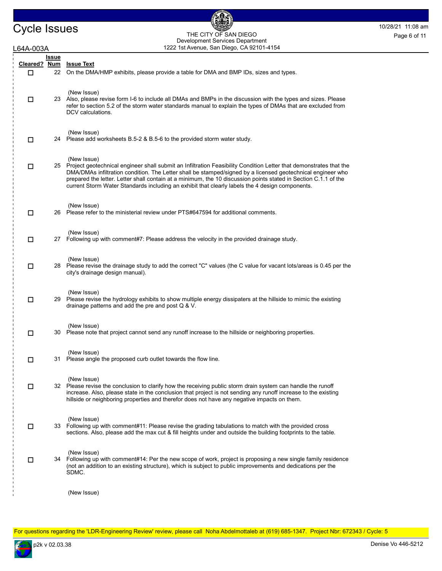

Cycle Issues THE CITY OF SAN DIEGO Page 6 of 11 1222 1st Avenue, San Diego, CA 92101-4154 THE CITY OF SAN DIEGO Development Services Department Page 6 of 11

過

| .64A-003A     |                     | Development och vices Department<br>1222 1st Avenue, San Diego, CA 92101-4154                                                                                                                                                                                                                                                                                                                                                                                             |
|---------------|---------------------|---------------------------------------------------------------------------------------------------------------------------------------------------------------------------------------------------------------------------------------------------------------------------------------------------------------------------------------------------------------------------------------------------------------------------------------------------------------------------|
| Cleared?<br>□ | Issue<br><u>Num</u> | <b>Issue Text</b><br>22 On the DMA/HMP exhibits, please provide a table for DMA and BMP IDs, sizes and types.                                                                                                                                                                                                                                                                                                                                                             |
| □             |                     | (New Issue)<br>23 Also, please revise form I-6 to include all DMAs and BMPs in the discussion with the types and sizes. Please<br>refer to section 5.2 of the storm water standards manual to explain the types of DMAs that are excluded from<br>DCV calculations.                                                                                                                                                                                                       |
| □             |                     | (New Issue)<br>24 Please add worksheets B.5-2 & B.5-6 to the provided storm water study.                                                                                                                                                                                                                                                                                                                                                                                  |
| □             |                     | (New Issue)<br>25 Project geotechnical engineer shall submit an Infiltration Feasibility Condition Letter that demonstrates that the<br>DMA/DMAs infiltration condition. The Letter shall be stamped/signed by a licensed geotechnical engineer who<br>prepared the letter. Letter shall contain at a minimum, the 10 discussion points stated in Section C.1.1 of the<br>current Storm Water Standards including an exhibit that clearly labels the 4 design components. |
| □             |                     | (New Issue)<br>26 Please refer to the ministerial review under PTS#647594 for additional comments.                                                                                                                                                                                                                                                                                                                                                                        |
| □             | 27                  | (New Issue)<br>Following up with comment#7: Please address the velocity in the provided drainage study.                                                                                                                                                                                                                                                                                                                                                                   |
| □             |                     | (New Issue)<br>28 Please revise the drainage study to add the correct "C" values (the C value for vacant lots/areas is 0.45 per the<br>city's drainage design manual).                                                                                                                                                                                                                                                                                                    |
| □             |                     | (New Issue)<br>29 Please revise the hydrology exhibits to show multiple energy dissipaters at the hillside to mimic the existing<br>drainage patterns and add the pre and post $Q & V$ .                                                                                                                                                                                                                                                                                  |
| □             |                     | (New Issue)<br>30 Please note that project cannot send any runoff increase to the hillside or neighboring properties.                                                                                                                                                                                                                                                                                                                                                     |
| □             |                     | (New Issue)<br>31 Please angle the proposed curb outlet towards the flow line.                                                                                                                                                                                                                                                                                                                                                                                            |
| □             |                     | (New Issue)<br>32 Please revise the conclusion to clarify how the receiving public storm drain system can handle the runoff<br>increase. Also, please state in the conclusion that project is not sending any runoff increase to the existing<br>hillside or neighboring properties and therefor does not have any negative impacts on them.                                                                                                                              |
| □             |                     | (New Issue)<br>33 Following up with comment#11: Please revise the grading tabulations to match with the provided cross<br>sections. Also, please add the max cut & fill heights under and outside the building footprints to the table.                                                                                                                                                                                                                                   |
| □             |                     | (New Issue)<br>34 Following up with comment#14: Per the new scope of work, project is proposing a new single family residence<br>(not an addition to an existing structure), which is subject to public improvements and dedications per the<br>SDMC.                                                                                                                                                                                                                     |
|               |                     | (New Issue)                                                                                                                                                                                                                                                                                                                                                                                                                                                               |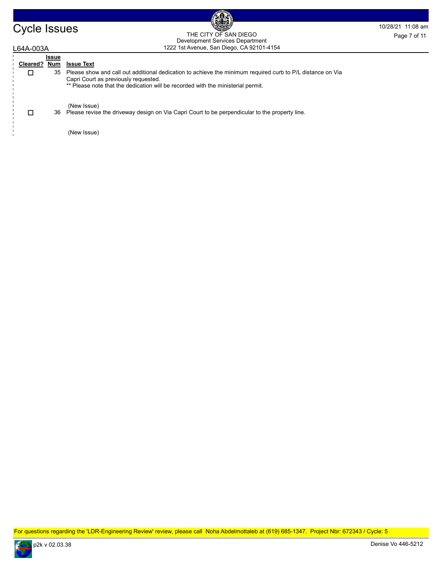# Cycle Issues THE CITY OF SAN DIEGO FRAM DIEGO Page 7 of 11 THE CITY OF SAN DIEGO Development Services Department Page 7 of 11

6

| L64A-003A |          |              | 1222 1st Avenue, San Diego, CA 92101-4154                                                                                                          |
|-----------|----------|--------------|----------------------------------------------------------------------------------------------------------------------------------------------------|
|           |          | <b>Issue</b> |                                                                                                                                                    |
|           | Cleared? | Num          | <b>Issue Text</b>                                                                                                                                  |
|           | □        | 35           | Please show and call out additional dedication to achieve the minimum required curb to P/L distance on Via<br>Capri Court as previously requested. |
|           |          |              | ** Please note that the dedication will be recorded with the ministerial permit.                                                                   |
|           | □        |              | (New Issue)<br>36 Please revise the driveway design on Via Capri Court to be perpendicular to the property line.                                   |
|           |          |              | (New Issue)                                                                                                                                        |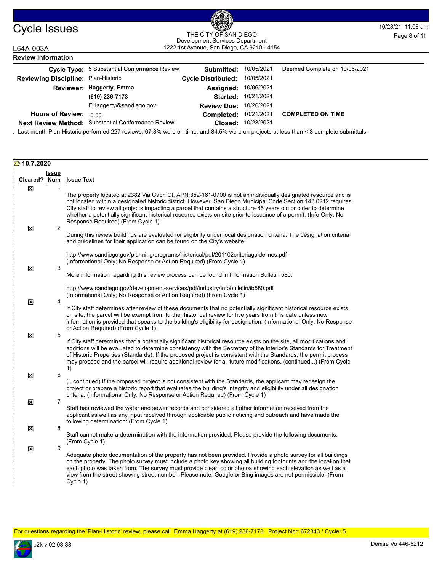

# Cycle Issues 10/28/21 11:08 am 1222 1st Avenue, San Diego, CA 92101-4154 THE CITY OF SAN DIEGO Development Services Department Page 8 of 11

## L64A-003A **Review Information**

|                                     | Cycle Type: 5 Substantial Conformance Review       | Submitted:                | 10/05/2021 | Deemed Complete on 10/05/2021 |
|-------------------------------------|----------------------------------------------------|---------------------------|------------|-------------------------------|
| Reviewing Discipline: Plan-Historic |                                                    | <b>Cycle Distributed:</b> | 10/05/2021 |                               |
|                                     | Reviewer: Haggerty, Emma                           | Assigned:                 | 10/06/2021 |                               |
|                                     | (619) 236-7173                                     | <b>Started:</b>           | 10/21/2021 |                               |
|                                     | EHaggerty@sandiego.gov                             | <b>Review Due:</b>        | 10/26/2021 |                               |
| <b>Hours of Review:</b>             | 0.50                                               | Completed:                | 10/21/2021 | <b>COMPLETED ON TIME</b>      |
|                                     | Next Review Method: Substantial Conformance Review | Closed:                   | 10/28/2021 |                               |

. Last month Plan-Historic performed 227 reviews, 67.8% were on-time, and 84.5% were on projects at less than < 3 complete submittals.

| 2020.7.20∑                                |                                |                                                                                                                                                                                                                                                                                                                                                                                                                                                                                                                 |
|-------------------------------------------|--------------------------------|-----------------------------------------------------------------------------------------------------------------------------------------------------------------------------------------------------------------------------------------------------------------------------------------------------------------------------------------------------------------------------------------------------------------------------------------------------------------------------------------------------------------|
|                                           | <b>Issue</b>                   |                                                                                                                                                                                                                                                                                                                                                                                                                                                                                                                 |
| Cleared?                                  | <b>Num</b>                     | <b>Issue Text</b>                                                                                                                                                                                                                                                                                                                                                                                                                                                                                               |
| $\boldsymbol{\mathsf{x}}$<br>$\mathbf{x}$ | $\mathbf{1}$<br>$\overline{2}$ | The property located at 2382 Via Capri Ct, APN 352-161-0700 is not an individually designated resource and is<br>not located within a designated historic district. However, San Diego Municipal Code Section 143.0212 requires<br>City staff to review all projects impacting a parcel that contains a structure 45 years old or older to determine<br>whether a potentially significant historical resource exists on site prior to issuance of a permit. (Info Only, No<br>Response Required) (From Cycle 1) |
|                                           |                                | During this review buildings are evaluated for eligibility under local designation criteria. The designation criteria<br>and guidelines for their application can be found on the City's website:                                                                                                                                                                                                                                                                                                               |
| $\mathbf{x}$                              | 3                              | http://www.sandiego.gov/planning/programs/historical/pdf/201102criteriaguidelines.pdf<br>(Informational Only; No Response or Action Required) (From Cycle 1)                                                                                                                                                                                                                                                                                                                                                    |
|                                           |                                | More information regarding this review process can be found in Information Bulletin 580:                                                                                                                                                                                                                                                                                                                                                                                                                        |
| $\mathbf{x}$                              | $\overline{4}$                 | http://www.sandiego.gov/development-services/pdf/industry/infobulletin/ib580.pdf<br>(Informational Only; No Response or Action Required) (From Cycle 1)                                                                                                                                                                                                                                                                                                                                                         |
|                                           |                                | If City staff determines after review of these documents that no potentially significant historical resource exists<br>on site, the parcel will be exempt from further historical review for five years from this date unless new<br>information is provided that speaks to the building's eligibility for designation. (Informational Only; No Response<br>or Action Required) (From Cycle 1)                                                                                                                  |
| $\mathbf{x}$                              | 5                              | If City staff determines that a potentially significant historical resource exists on the site, all modifications and<br>additions will be evaluated to determine consistency with the Secretary of the Interior's Standards for Treatment<br>of Historic Properties (Standards). If the proposed project is consistent with the Standards, the permit process<br>may proceed and the parcel will require additional review for all future modifications. (continued) (From Cycle<br>1)                         |
| ×                                         | 6                              |                                                                                                                                                                                                                                                                                                                                                                                                                                                                                                                 |
|                                           |                                | (continued) If the proposed project is not consistent with the Standards, the applicant may redesign the<br>project or prepare a historic report that evaluates the building's integrity and eligibility under all designation<br>criteria. (Informational Only; No Response or Action Required) (From Cycle 1)                                                                                                                                                                                                 |
| ⊠                                         | $\overline{7}$                 | Staff has reviewed the water and sewer records and considered all other information received from the<br>applicant as well as any input received through applicable public noticing and outreach and have made the                                                                                                                                                                                                                                                                                              |
| ×                                         | 8                              | following determination: (From Cycle 1)<br>Staff cannot make a determination with the information provided. Please provide the following documents:                                                                                                                                                                                                                                                                                                                                                             |
| ×                                         | 9                              | (From Cycle 1)                                                                                                                                                                                                                                                                                                                                                                                                                                                                                                  |
|                                           |                                | Adequate photo documentation of the property has not been provided. Provide a photo survey for all buildings<br>on the property. The photo survey must include a photo key showing all building footprints and the location that<br>each photo was taken from. The survey must provide clear, color photos showing each elevation as well as a<br>view from the street showing street number. Please note, Google or Bing images are not permissible. (From<br>Cycle 1)                                         |

For questions regarding the 'Plan-Historic' review, please call Emma Haggerty at (619) 236-7173. Project Nbr: 672343 / Cycle: 5

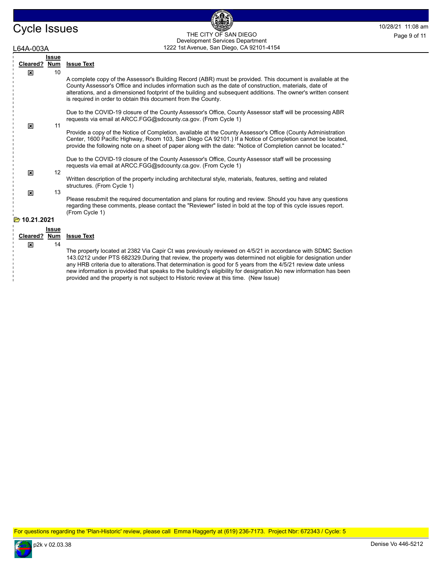# Cycle Issues and the City of San Diego Cycle 19 and the Mage 9 of 11 1222 1st Avenue, San Diego, CA 92101-4154 THE CITY OF SAN DIEGO Development Services Department Page 9 of 11

| .64A-003A                 |              |     | 1222 1st Avenue, San Diego, CA 92101-4154                                                                                                                                                                                                                                                                                                                                                                |  |  |  |
|---------------------------|--------------|-----|----------------------------------------------------------------------------------------------------------------------------------------------------------------------------------------------------------------------------------------------------------------------------------------------------------------------------------------------------------------------------------------------------------|--|--|--|
| <b>Issue</b>              |              |     |                                                                                                                                                                                                                                                                                                                                                                                                          |  |  |  |
|                           | Cleared?     | Num | <b>Issue Text</b>                                                                                                                                                                                                                                                                                                                                                                                        |  |  |  |
|                           | ×            | 10  |                                                                                                                                                                                                                                                                                                                                                                                                          |  |  |  |
|                           |              |     | A complete copy of the Assessor's Building Record (ABR) must be provided. This document is available at the<br>County Assessor's Office and includes information such as the date of construction, materials, date of<br>alterations, and a dimensioned footprint of the building and subsequent additions. The owner's written consent<br>is required in order to obtain this document from the County. |  |  |  |
|                           | ×            | 11  | Due to the COVID-19 closure of the County Assessor's Office, County Assessor staff will be processing ABR<br>requests via email at ARCC FGG@sdcounty ca.gov. (From Cycle 1)                                                                                                                                                                                                                              |  |  |  |
|                           |              |     | Provide a copy of the Notice of Completion, available at the County Assessor's Office (County Administration<br>Center, 1600 Pacific Highway, Room 103, San Diego CA 92101.) If a Notice of Completion cannot be located,<br>provide the following note on a sheet of paper along with the date: "Notice of Completion cannot be located."                                                               |  |  |  |
|                           |              |     | Due to the COVID-19 closure of the County Assessor's Office, County Assessor staff will be processing<br>requests via email at ARCC.FGG@sdcounty.ca.gov. (From Cycle 1)                                                                                                                                                                                                                                  |  |  |  |
|                           | $\mathbf{x}$ | 12  |                                                                                                                                                                                                                                                                                                                                                                                                          |  |  |  |
|                           |              |     | Written description of the property including architectural style, materials, features, setting and related<br>structures. (From Cycle 1)                                                                                                                                                                                                                                                                |  |  |  |
|                           | ×            | 13  |                                                                                                                                                                                                                                                                                                                                                                                                          |  |  |  |
|                           |              |     | Please resubmit the required documentation and plans for routing and review. Should you have any questions<br>regarding these comments, please contact the "Reviewer" listed in bold at the top of this cycle issues report.<br>(From Cycle 1)                                                                                                                                                           |  |  |  |
| 10.21.2021<br><b>Part</b> |              |     |                                                                                                                                                                                                                                                                                                                                                                                                          |  |  |  |
| <b>Issue</b>              |              |     |                                                                                                                                                                                                                                                                                                                                                                                                          |  |  |  |
|                           | Cleared?     | Num | <b>Issue Text</b>                                                                                                                                                                                                                                                                                                                                                                                        |  |  |  |
|                           | x            | 14  |                                                                                                                                                                                                                                                                                                                                                                                                          |  |  |  |
|                           |              |     | The property located at 2382 Via Capir Ct was previously reviewed on 4/5/21 in accordance with SDMC Section                                                                                                                                                                                                                                                                                              |  |  |  |

The property located at 2382 Via Capir Ct was previously reviewed on 4/5/21 in accordance with SDMC Section 143.0212 under PTS 682329.During that review, the property was determined not eligible for designation under any HRB criteria due to alterations.That determination is good for 5 years from the 4/5/21 review date unless new information is provided that speaks to the building's eligibility for designation.No new information has been provided and the property is not subject to Historic review at this time. (New Issue)

For questions regarding the 'Plan-Historic' review, please call Emma Haggerty at (619) 236-7173. Project Nbr: 672343 / Cycle: 5

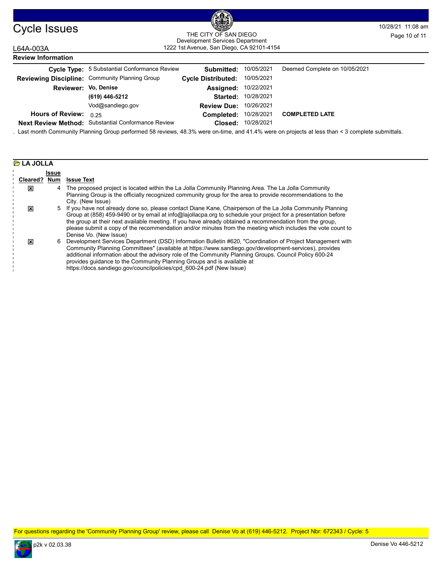

# Cycle Issues 10/28/21 11:08 am 1222 1st Avenue, San Diego, CA 92101-4154 THE CITY OF SAN DIEGO<br>Development Services Department Page 10 of 11

## L64A-003A **Review Information**

|                         | <b>Cycle Type:</b> 5 Substantial Conformance Review | Submitted:                | 10/05/2021 | Deemed Complete on 10/05/2021 |
|-------------------------|-----------------------------------------------------|---------------------------|------------|-------------------------------|
|                         | Reviewing Discipline: Community Planning Group      | <b>Cycle Distributed:</b> | 10/05/2021 |                               |
| Reviewer: Vo, Denise    |                                                     | Assigned:                 | 10/22/2021 |                               |
|                         | (619) 446-5212                                      | Started:                  | 10/28/2021 |                               |
|                         | Vod@sandiego.gov                                    | <b>Review Due:</b>        | 10/26/2021 |                               |
| <b>Hours of Review:</b> | 0.25                                                | Completed:                | 10/28/2021 | <b>COMPLETED LATE</b>         |
|                         | Next Review Method: Substantial Conformance Review  | Closed:                   | 10/28/2021 |                               |

. Last month Community Planning Group performed 58 reviews, 48.3% were on-time, and 41.4% were on projects at less than < 3 complete submittals.

|              | <b>B</b> LA JOLLA |                                                                                                                                                                                                                                                                                                                                                                                                                                                                                    |  |  |  |
|--------------|-------------------|------------------------------------------------------------------------------------------------------------------------------------------------------------------------------------------------------------------------------------------------------------------------------------------------------------------------------------------------------------------------------------------------------------------------------------------------------------------------------------|--|--|--|
| Issue        |                   |                                                                                                                                                                                                                                                                                                                                                                                                                                                                                    |  |  |  |
| Cleared? Num |                   | <b>Issue Text</b>                                                                                                                                                                                                                                                                                                                                                                                                                                                                  |  |  |  |
| 図            |                   | 4 The proposed project is located within the La Jolla Community Planning Area. The La Jolla Community<br>Planning Group is the officially recognized community group for the area to provide recommendations to the<br>City. (New Issue)                                                                                                                                                                                                                                           |  |  |  |
| ⊠            |                   | 5 If you have not already done so, please contact Diane Kane, Chairperson of the La Jolla Community Planning<br>Group at (858) 459-9490 or by email at info@lajollacpa.org to schedule your project for a presentation before<br>the group at their next available meeting. If you have already obtained a recommendation from the group,<br>please submit a copy of the recommendation and/or minutes from the meeting which includes the vote count to<br>Denise Vo. (New Issue) |  |  |  |
| ⊠            | 6                 | Development Services Department (DSD) Information Bulletin #620, "Coordination of Project Management with<br>Community Planning Committees" (available at https://www.sandiego.gov/development-services), provides<br>additional information about the advisory role of the Community Planning Groups. Council Policy 600-24<br>provides quidance to the Community Planning Groups and is available at<br>https://docs.sandiego.gov/councilpolicies/cpd 600-24.pdf (New Issue)     |  |  |  |